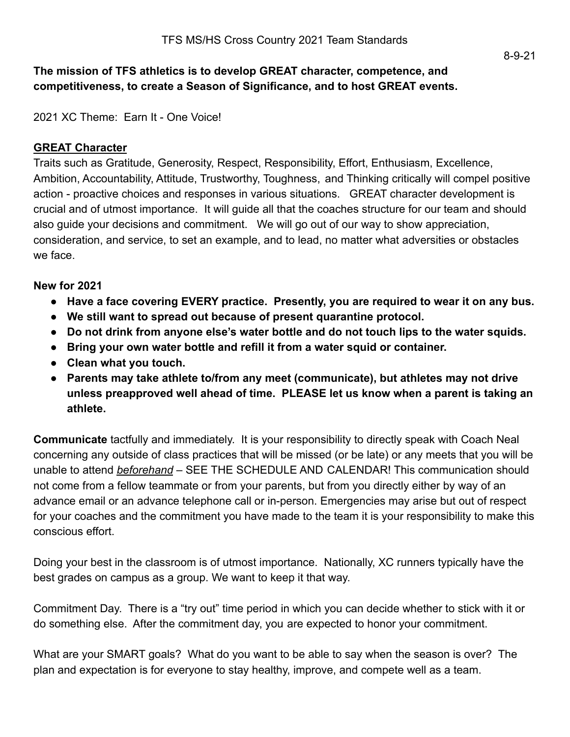### **The mission of TFS athletics is to develop GREAT character, competence, and competitiveness, to create a Season of Significance, and to host GREAT events.**

2021 XC Theme: Earn It - One Voice!

#### **GREAT Character**

Traits such as Gratitude, Generosity, Respect, Responsibility, Effort, Enthusiasm, Excellence, Ambition, Accountability, Attitude, Trustworthy, Toughness, and Thinking critically will compel positive action - proactive choices and responses in various situations. GREAT character development is crucial and of utmost importance. It will guide all that the coaches structure for our team and should also guide your decisions and commitment. We will go out of our way to show appreciation, consideration, and service, to set an example, and to lead, no matter what adversities or obstacles we face.

#### **New for 2021**

- **● Have a face covering EVERY practice. Presently, you are required to wear it on any bus.**
- **● We still want to spread out because of present quarantine protocol.**
- **● Do not drink from anyone else's water bottle and do not touch lips to the water squids.**
- **● Bring your own water bottle and refill it from a water squid or container.**
- **● Clean what you touch.**
- **● Parents may take athlete to/from any meet (communicate), but athletes may not drive unless preapproved well ahead of time. PLEASE let us know when a parent is taking an athlete.**

**Communicate** tactfully and immediately. It is your responsibility to directly speak with Coach Neal concerning any outside of class practices that will be missed (or be late) or any meets that you will be unable to attend *beforehand* – SEE THE SCHEDULE AND CALENDAR! This communication should not come from a fellow teammate or from your parents, but from you directly either by way of an advance email or an advance telephone call or in-person. Emergencies may arise but out of respect for your coaches and the commitment you have made to the team it is your responsibility to make this conscious effort.

Doing your best in the classroom is of utmost importance. Nationally, XC runners typically have the best grades on campus as a group. We want to keep it that way.

Commitment Day. There is a "try out" time period in which you can decide whether to stick with it or do something else. After the commitment day, you are expected to honor your commitment.

What are your SMART goals? What do you want to be able to say when the season is over? The plan and expectation is for everyone to stay healthy, improve, and compete well as a team.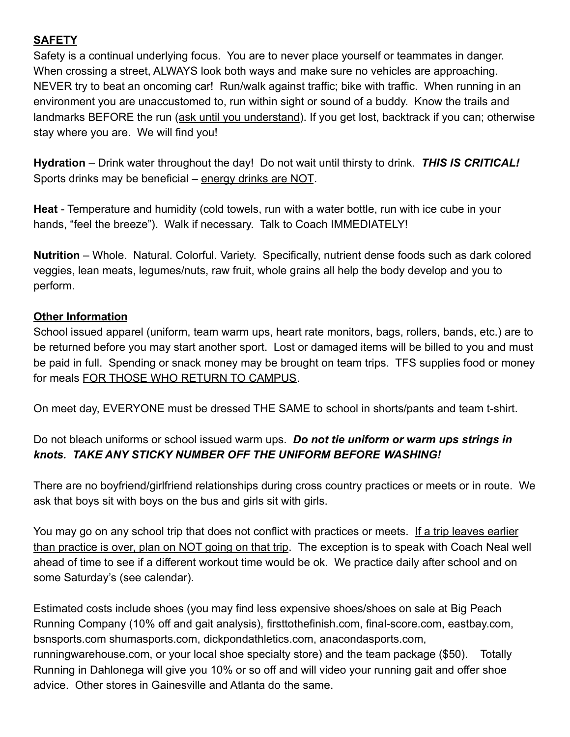# **SAFETY**

Safety is a continual underlying focus. You are to never place yourself or teammates in danger. When crossing a street, ALWAYS look both ways and make sure no vehicles are approaching. NEVER try to beat an oncoming car! Run/walk against traffic; bike with traffic. When running in an environment you are unaccustomed to, run within sight or sound of a buddy. Know the trails and landmarks BEFORE the run (ask until you understand). If you get lost, backtrack if you can; otherwise stay where you are. We will find you!

**Hydration** – Drink water throughout the day! Do not wait until thirsty to drink. *THIS IS CRITICAL!* Sports drinks may be beneficial – energy drinks are NOT.

**Heat** - Temperature and humidity (cold towels, run with a water bottle, run with ice cube in your hands, "feel the breeze"). Walk if necessary. Talk to Coach IMMEDIATELY!

**Nutrition** – Whole. Natural. Colorful. Variety. Specifically, nutrient dense foods such as dark colored veggies, lean meats, legumes/nuts, raw fruit, whole grains all help the body develop and you to perform.

# **Other Information**

School issued apparel (uniform, team warm ups, heart rate monitors, bags, rollers, bands, etc.) are to be returned before you may start another sport. Lost or damaged items will be billed to you and must be paid in full. Spending or snack money may be brought on team trips. TFS supplies food or money for meals FOR THOSE WHO RETURN TO CAMPUS.

On meet day, EVERYONE must be dressed THE SAME to school in shorts/pants and team t-shirt.

# Do not bleach uniforms or school issued warm ups. *Do not tie uniform or warm ups strings in knots. TAKE ANY STICKY NUMBER OFF THE UNIFORM BEFORE WASHING!*

There are no boyfriend/girlfriend relationships during cross country practices or meets or in route. We ask that boys sit with boys on the bus and girls sit with girls.

You may go on any school trip that does not conflict with practices or meets. If a trip leaves earlier than practice is over, plan on NOT going on that trip. The exception is to speak with Coach Neal well ahead of time to see if a different workout time would be ok. We practice daily after school and on some Saturday's (see calendar).

Estimated costs include shoes (you may find less expensive shoes/shoes on sale at Big Peach Running Company (10% off and gait analysis), firsttothefinish.com, final-score.com, eastbay.com, bsnsports.com shumasports.com, dickpondathletics.com, anacondasports.com, runningwarehouse.com, or your local shoe specialty store) and the team package (\$50). Totally Running in Dahlonega will give you 10% or so off and will video your running gait and offer shoe advice. Other stores in Gainesville and Atlanta do the same.